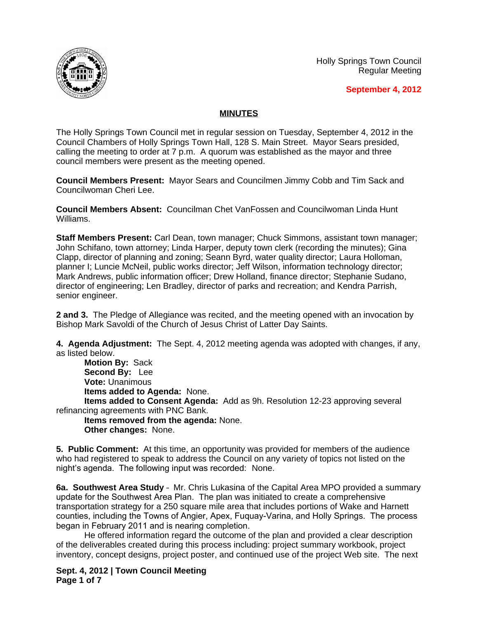Holly Springs Town Council Regular Meeting





## **MINUTES**

The Holly Springs Town Council met in regular session on Tuesday, September 4, 2012 in the Council Chambers of Holly Springs Town Hall, 128 S. Main Street. Mayor Sears presided, calling the meeting to order at 7 p.m. A quorum was established as the mayor and three council members were present as the meeting opened.

**Council Members Present:** Mayor Sears and Councilmen Jimmy Cobb and Tim Sack and Councilwoman Cheri Lee.

**Council Members Absent:** Councilman Chet VanFossen and Councilwoman Linda Hunt Williams.

**Staff Members Present:** Carl Dean, town manager; Chuck Simmons, assistant town manager; John Schifano, town attorney; Linda Harper, deputy town clerk (recording the minutes); Gina Clapp, director of planning and zoning; Seann Byrd, water quality director; Laura Holloman, planner I; Luncie McNeil, public works director; Jeff Wilson, information technology director; Mark Andrews, public information officer; Drew Holland, finance director; Stephanie Sudano, director of engineering; Len Bradley, director of parks and recreation; and Kendra Parrish, senior engineer.

**2 and 3.** The Pledge of Allegiance was recited, and the meeting opened with an invocation by Bishop Mark Savoldi of the Church of Jesus Christ of Latter Day Saints.

**4. Agenda Adjustment:** The Sept. 4, 2012 meeting agenda was adopted with changes, if any, as listed below.

**Motion By:** Sack **Second By:** Lee **Vote:** Unanimous **Items added to Agenda:** None.

**Items added to Consent Agenda:** Add as 9h. Resolution 12-23 approving several refinancing agreements with PNC Bank.

**Items removed from the agenda:** None. **Other changes:** None.

**5. Public Comment:** At this time, an opportunity was provided for members of the audience who had registered to speak to address the Council on any variety of topics not listed on the night's agenda. The following input was recorded: None.

**6a. Southwest Area Study** – Mr. Chris Lukasina of the Capital Area MPO provided a summary update for the Southwest Area Plan. The plan was initiated to create a comprehensive transportation strategy for a 250 square mile area that includes portions of Wake and Harnett counties, including the Towns of Angier, Apex, Fuquay-Varina, and Holly Springs. The process began in February 2011 and is nearing completion.

He offered information regard the outcome of the plan and provided a clear description of the deliverables created during this process including: project summary workbook, project inventory, concept designs, project poster, and continued use of the project Web site. The next

**Sept. 4, 2012 | Town Council Meeting Page 1 of 7**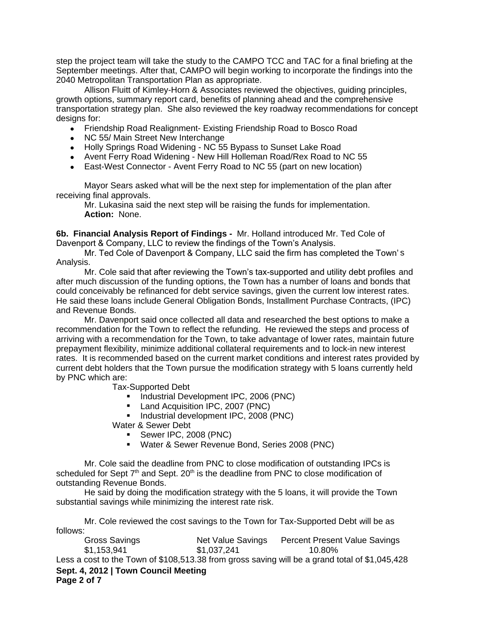step the project team will take the study to the CAMPO TCC and TAC for a final briefing at the September meetings. After that, CAMPO will begin working to incorporate the findings into the 2040 Metropolitan Transportation Plan as appropriate.

Allison Fluitt of Kimley-Horn & Associates reviewed the objectives, guiding principles, growth options, summary report card, benefits of planning ahead and the comprehensive transportation strategy plan. She also reviewed the key roadway recommendations for concept designs for:

- Friendship Road Realignment- Existing Friendship Road to Bosco Road
- NC 55/ Main Street New Interchange
- Holly Springs Road Widening NC 55 Bypass to Sunset Lake Road
- Avent Ferry Road Widening New Hill Holleman Road/Rex Road to NC 55
- East-West Connector Avent Ferry Road to NC 55 (part on new location)

Mayor Sears asked what will be the next step for implementation of the plan after receiving final approvals.

Mr. Lukasina said the next step will be raising the funds for implementation. **Action:** None.

**6b. Financial Analysis Report of Findings -** Mr. Holland introduced Mr. Ted Cole of Davenport & Company, LLC to review the findings of the Town's Analysis.

Mr. Ted Cole of Davenport & Company, LLC said the firm has completed the Town' s Analysis.

Mr. Cole said that after reviewing the Town's tax-supported and utility debt profiles and after much discussion of the funding options, the Town has a number of loans and bonds that could conceivably be refinanced for debt service savings, given the current low interest rates. He said these loans include General Obligation Bonds, Installment Purchase Contracts, (IPC) and Revenue Bonds.

Mr. Davenport said once collected all data and researched the best options to make a recommendation for the Town to reflect the refunding. He reviewed the steps and process of arriving with a recommendation for the Town, to take advantage of lower rates, maintain future prepayment flexibility, minimize additional collateral requirements and to lock-in new interest rates. It is recommended based on the current market conditions and interest rates provided by current debt holders that the Town pursue the modification strategy with 5 loans currently held by PNC which are:

Tax-Supported Debt

- **Industrial Development IPC, 2006 (PNC)**
- **Land Acquisition IPC, 2007 (PNC)**
- **Industrial development IPC, 2008 (PNC)**
- Water & Sewer Debt
	- Sewer IPC, 2008 (PNC)
	- Water & Sewer Revenue Bond, Series 2008 (PNC)

Mr. Cole said the deadline from PNC to close modification of outstanding IPCs is scheduled for Sept  $7<sup>th</sup>$  and Sept. 20<sup>th</sup> is the deadline from PNC to close modification of outstanding Revenue Bonds.

He said by doing the modification strategy with the 5 loans, it will provide the Town substantial savings while minimizing the interest rate risk.

Mr. Cole reviewed the cost savings to the Town for Tax-Supported Debt will be as follows:

**Sept. 4, 2012 | Town Council Meeting Page 2 of 7** Gross Savings Net Value Savings Percent Present Value Savings \$1,153,941 \$1,037,241 10.80% Less a cost to the Town of \$108,513.38 from gross saving will be a grand total of \$1,045,428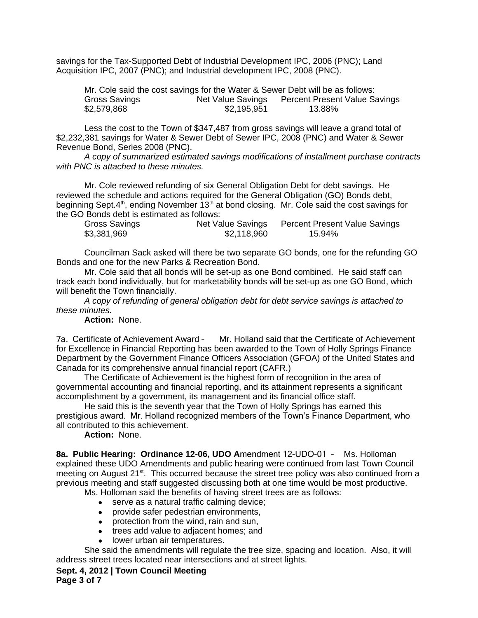savings for the Tax-Supported Debt of Industrial Development IPC, 2006 (PNC); Land Acquisition IPC, 2007 (PNC); and Industrial development IPC, 2008 (PNC).

| Mr. Cole said the cost savings for the Water & Sewer Debt will be as follows: |                   |                                      |  |
|-------------------------------------------------------------------------------|-------------------|--------------------------------------|--|
| Gross Savings                                                                 | Net Value Savings | <b>Percent Present Value Savings</b> |  |
| \$2,579,868                                                                   | \$2,195,951       | 13.88%                               |  |

Less the cost to the Town of \$347,487 from gross savings will leave a grand total of \$2,232,381 savings for Water & Sewer Debt of Sewer IPC, 2008 (PNC) and Water & Sewer Revenue Bond, Series 2008 (PNC).

*A copy of summarized estimated savings modifications of installment purchase contracts with PNC is attached to these minutes.*

Mr. Cole reviewed refunding of six General Obligation Debt for debt savings. He reviewed the schedule and actions required for the General Obligation (GO) Bonds debt, beginning Sept.4<sup>th</sup>, ending November 13<sup>th</sup> at bond closing. Mr. Cole said the cost savings for the GO Bonds debt is estimated as follows:

| Gross Savings | Net Value Savings | <b>Percent Present Value Savings</b> |
|---------------|-------------------|--------------------------------------|
| \$3,381,969   | \$2,118,960       | 15.94%                               |

Councilman Sack asked will there be two separate GO bonds, one for the refunding GO Bonds and one for the new Parks & Recreation Bond.

Mr. Cole said that all bonds will be set-up as one Bond combined. He said staff can track each bond individually, but for marketability bonds will be set-up as one GO Bond, which will benefit the Town financially.

*A copy of refunding of general obligation debt for debt service savings is attached to these minutes.*

**Action:** None.

7a. Certificate of Achievement Award – Mr. Holland said that the Certificate of Achievement for Excellence in Financial Reporting has been awarded to the Town of Holly Springs Finance Department by the Government Finance Officers Association (GFOA) of the United States and Canada for its comprehensive annual financial report (CAFR.)

The Certificate of Achievement is the highest form of recognition in the area of governmental accounting and financial reporting, and its attainment represents a significant accomplishment by a government, its management and its financial office staff.

He said this is the seventh year that the Town of Holly Springs has earned this prestigious award. Mr. Holland recognized members of the Town's Finance Department, who all contributed to this achievement.

## **Action:** None.

**8a. Public Hearing: Ordinance 12-06, UDO A**mendment 12-UDO-01 – Ms. Holloman explained these UDO Amendments and public hearing were continued from last Town Council meeting on August 21<sup>st</sup>. This occurred because the street tree policy was also continued from a previous meeting and staff suggested discussing both at one time would be most productive.

Ms. Holloman said the benefits of having street trees are as follows:

- serve as a natural traffic calming device;
- provide safer pedestrian environments,
- protection from the wind, rain and sun,
- trees add value to adjacent homes; and
- lower urban air temperatures.

She said the amendments will regulate the tree size, spacing and location. Also, it will address street trees located near intersections and at street lights.

**Sept. 4, 2012 | Town Council Meeting Page 3 of 7**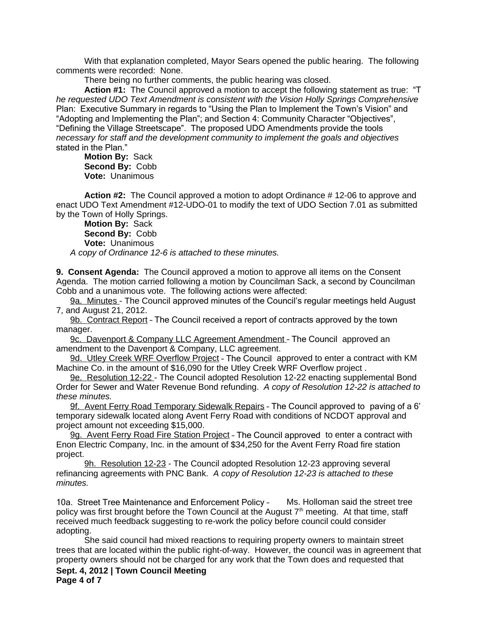With that explanation completed, Mayor Sears opened the public hearing. The following comments were recorded: None.

There being no further comments, the public hearing was closed.

**Action #1:** The Council approved a motion to accept the following statement as true: "T *he requested UDO Text Amendment is consistent with the Vision Holly Springs Comprehensive*  Plan: Executive Summary in regards to "Using the Plan to Implement the Town's Vision" and "Adopting and Implementing the Plan"; and Section 4: Community Character "Objectives", "Defining the Village Streetscape". The proposed UDO Amendments provide the tools *necessary for staff and the development community to implement the goals and objectives*  stated in the Plan."

**Motion By:** Sack **Second By:** Cobb **Vote:** Unanimous

**Action #2:** The Council approved a motion to adopt Ordinance # 12-06 to approve and enact UDO Text Amendment #12-UDO-01 to modify the text of UDO Section 7.01 as submitted by the Town of Holly Springs.

**Motion By:** Sack **Second By:** Cobb **Vote:** Unanimous *A copy of Ordinance 12-6 is attached to these minutes.*

**9. Consent Agenda:** The Council approved a motion to approve all items on the Consent Agenda. The motion carried following a motion by Councilman Sack, a second by Councilman Cobb and a unanimous vote. The following actions were affected:

9a. Minutes - The Council approved minutes of the Council's regular meetings held August 7, and August 21, 2012.

9b. Contract Report – The Council received a report of contracts approved by the town manager.

9c. Davenport & Company LLC Agreement Amendment - The Council approved an amendment to the Davenport & Company, LLC agreement.

9d. Utley Creek WRF Overflow Project - The Council approved to enter a contract with KM Machine Co. in the amount of \$16,090 for the Utley Creek WRF Overflow project .

9e. Resolution 12-22 - The Council adopted Resolution 12-22 enacting supplemental Bond Order for Sewer and Water Revenue Bond refunding. *A copy of Resolution 12-22 is attached to these minutes.*

9f. Avent Ferry Road Temporary Sidewalk Repairs – The Council approved to paving of a 6' temporary sidewalk located along Avent Ferry Road with conditions of NCDOT approval and project amount not exceeding \$15,000.

9g. Avent Ferry Road Fire Station Project - The Council approved to enter a contract with Enon Electric Company, Inc. in the amount of \$34,250 for the Avent Ferry Road fire station project.

9h. Resolution 12-23 - The Council adopted Resolution 12-23 approving several refinancing agreements with PNC Bank. *A copy of Resolution 12-23 is attached to these minutes.*

10a. Street Tree Maintenance and Enforcement Policy – Ms. Holloman said the street tree policy was first brought before the Town Council at the August  $7<sup>th</sup>$  meeting. At that time, staff received much feedback suggesting to re-work the policy before council could consider adopting.

She said council had mixed reactions to requiring property owners to maintain street trees that are located within the public right-of-way. However, the council was in agreement that property owners should not be charged for any work that the Town does and requested that

**Sept. 4, 2012 | Town Council Meeting Page 4 of 7**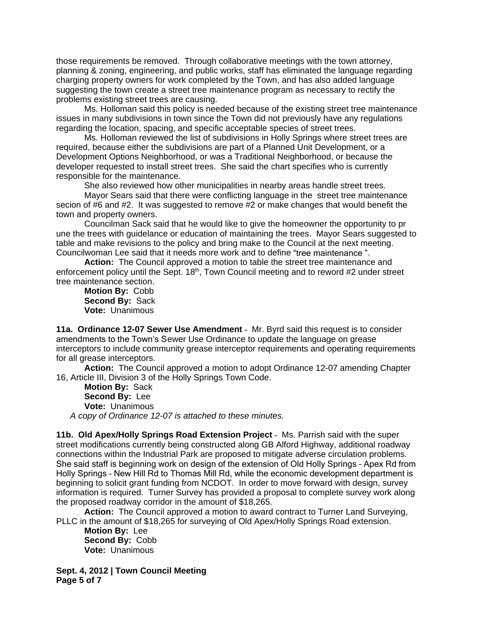those requirements be removed. Through collaborative meetings with the town attorney, planning & zoning, engineering, and public works, staff has eliminated the language regarding charging property owners for work completed by the Town, and has also added language suggesting the town create a street tree maintenance program as necessary to rectify the problems existing street trees are causing.

Ms. Holloman said this policy is needed because of the existing street tree maintenance issues in many subdivisions in town since the Town did not previously have any regulations regarding the location, spacing, and specific acceptable species of street trees.

Ms. Holloman reviewed the list of subdivisions in Holly Springs where street trees are required, because either the subdivisions are part of a Planned Unit Development, or a Development Options Neighborhood, or was a Traditional Neighborhood, or because the developer requested to install street trees. She said the chart specifies who is currently responsible for the maintenance.

She also reviewed how other municipalities in nearby areas handle street trees.

Mayor Sears said that there were conflicting language in the street tree maintenance secion of #6 and #2. It was suggested to remove #2 or make changes that would benefit the town and property owners.

Councilman Sack said that he would like to give the homeowner the opportunity to pr une the trees with guidelance or education of maintaining the trees. Mayor Sears suggested to table and make revisions to the policy and bring make to the Council at the next meeting. Councilwoman Lee said that it needs more work and to define "tree maintenance ".

**Action:** The Council approved a motion to table the street tree maintenance and enforcement policy until the Sept. 18<sup>th</sup>, Town Council meeting and to reword #2 under street tree maintenance section.

**Motion By:** Cobb **Second By:** Sack **Vote:** Unanimous

**11a. Ordinance 12-07 Sewer Use Amendment** – Mr. Byrd said this request is to consider amendments to the Town's Sewer Use Ordinance to update the language on grease interceptors to include community grease interceptor requirements and operating requirements for all grease interceptors.

**Action:** The Council approved a motion to adopt Ordinance 12-07 amending Chapter 16, Article III, Division 3 of the Holly Springs Town Code.

**Motion By:** Sack **Second By:** Lee **Vote:** Unanimous *A copy of Ordinance 12-07 is attached to these minutes.*

**11b. Old Apex/Holly Springs Road Extension Project** – Ms. Parrish said with the super street modifications currently being constructed along GB Alford Highway, additional roadway connections within the Industrial Park are proposed to mitigate adverse circulation problems. She said staff is beginning work on design of the extension of Old Holly Springs – Apex Rd from Holly Springs – New Hill Rd to Thomas Mill Rd, while the economic development department is beginning to solicit grant funding from NCDOT. In order to move forward with design, survey information is required. Turner Survey has provided a proposal to complete survey work along the proposed roadway corridor in the amount of \$18,265.

**Action:** The Council approved a motion to award contract to Turner Land Surveying, PLLC in the amount of \$18,265 for surveying of Old Apex/Holly Springs Road extension.

**Motion By:** Lee **Second By:** Cobb **Vote:** Unanimous

**Sept. 4, 2012 | Town Council Meeting Page 5 of 7**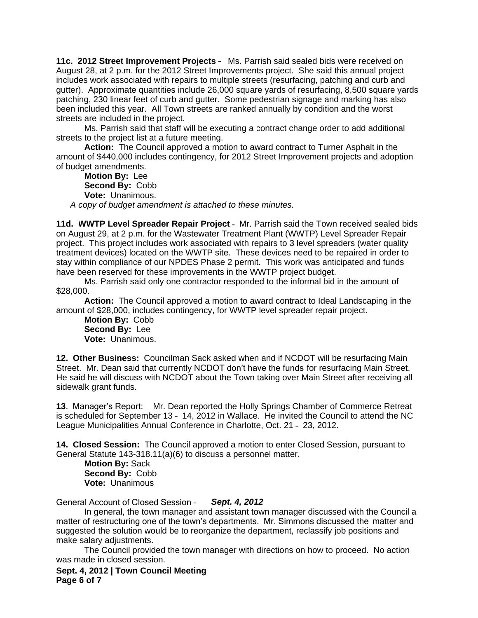**11c. 2012 Street Improvement Projects** – Ms. Parrish said sealed bids were received on August 28, at 2 p.m. for the 2012 Street Improvements project. She said this annual project includes work associated with repairs to multiple streets (resurfacing, patching and curb and gutter). Approximate quantities include 26,000 square yards of resurfacing, 8,500 square yards patching, 230 linear feet of curb and gutter. Some pedestrian signage and marking has also been included this year. All Town streets are ranked annually by condition and the worst streets are included in the project.

Ms. Parrish said that staff will be executing a contract change order to add additional streets to the project list at a future meeting.

**Action:** The Council approved a motion to award contract to Turner Asphalt in the amount of \$440,000 includes contingency, for 2012 Street Improvement projects and adoption of budget amendments.

**Motion By:** Lee **Second By:** Cobb **Vote:** Unanimous. *A copy of budget amendment is attached to these minutes.*

**11d. WWTP Level Spreader Repair Project** – Mr. Parrish said the Town received sealed bids on August 29, at 2 p.m. for the Wastewater Treatment Plant (WWTP) Level Spreader Repair project. This project includes work associated with repairs to 3 level spreaders (water quality treatment devices) located on the WWTP site. These devices need to be repaired in order to stay within compliance of our NPDES Phase 2 permit. This work was anticipated and funds have been reserved for these improvements in the WWTP project budget.

Ms. Parrish said only one contractor responded to the informal bid in the amount of \$28,000.

**Action:** The Council approved a motion to award contract to Ideal Landscaping in the amount of \$28,000, includes contingency, for WWTP level spreader repair project.

**Motion By:** Cobb **Second By:** Lee **Vote:** Unanimous.

**12. Other Business:** Councilman Sack asked when and if NCDOT will be resurfacing Main Street. Mr. Dean said that currently NCDOT don't have the funds for resurfacing Main Street. He said he will discuss with NCDOT about the Town taking over Main Street after receiving all sidewalk grant funds.

**13**. Manager's Report: Mr. Dean reported the Holly Springs Chamber of Commerce Retreat is scheduled for September 13 – 14, 2012 in Wallace. He invited the Council to attend the NC League Municipalities Annual Conference in Charlotte, Oct. 21 – 23, 2012.

**14. Closed Session:** The Council approved a motion to enter Closed Session, pursuant to General Statute 143-318.11(a)(6) to discuss a personnel matter.

**Motion By:** Sack **Second By:** Cobb **Vote:** Unanimous

General Account of Closed Session – *Sept. 4, 2012*

In general, the town manager and assistant town manager discussed with the Council a matter of restructuring one of the town's departments. Mr. Simmons discussed the matter and suggested the solution would be to reorganize the department, reclassify job positions and make salary adjustments.

The Council provided the town manager with directions on how to proceed. No action was made in closed session.

**Sept. 4, 2012 | Town Council Meeting Page 6 of 7**